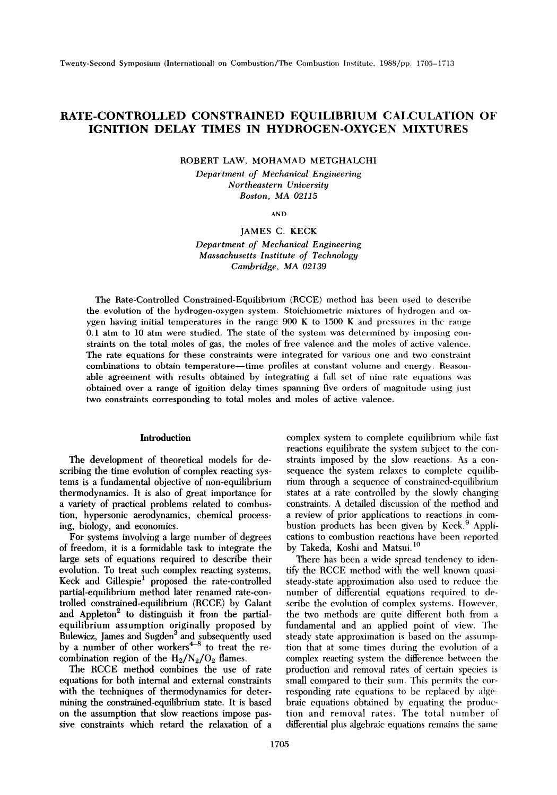# RATE-CONTROLLED CONSTRAINED EQUILIBRIUM CALCULATION OF IGNITION **DELAY TIMES IN** HYDROGEN-OXYGEN MIXTURES

## ROBERT LAW, MOHAMAD METGHALCHI

*Department of Mechanical Engineering Northeastern University Boston, MA 02115* 

AND

## JAMES C. KECK

*Department of Mechanical Engineering Massachusetts Institute of Technology Cambridge, MA 02139* 

The Rate-Controlled Constrained-Equilibrium (RCCE) method has been used to describe the evolution of the hydrogen-oxygen system. Stoichiometric mixtures of hydrogen and oxygen having initial temperatures in the range  $900 K$  to  $1500 K$  and pressures in the range 0.1 atm to 10 atm were studied. The state of the system was determined by imposing constraints on the total moles of gas, the moles of free valence and the moles of active valence. The rate equations for these constraints were integrated for various one and two constraint combinations to obtain temperature--time profiles at constant volume and energy. Reasonable agreement with results obtained by integrating a full set of nine rate equations was obtained over a range of ignition delay times spanning five orders of magnitude using just two constraints corresponding to total moles and moles of active valence.

#### **Introduction**

The development of theoretical models for describing the time evolution of complex reacting systems is a fundamental objective of non-equilibrium thermodynamics. It is also of great importance for a variety of practical problems related to combustion, hypersonic aerodynamics, chemical processing, biology, and economics.

For systems involving a large number of degrees of freedom, it is a formidable task to integrate the large sets of equations required to describe their evolution. To treat such complex reacting systems, Keck and Gillespie<sup>1</sup> proposed the rate-controlled partial-equilibrium method later renamed rate-controlled constrained-equilibrium (RCCE) by Galant and Appleton<sup>2</sup> to distinguish it from the partialequilibrium assumption originally proposed by Bulewicz, James and Sugden<sup>3</sup> and subsequently used<br>by a number of other workers<sup>4–8</sup> to treat the recombination region of the *Hz/N2/02* flames.

The RCCE method combines the use of rate equations for both internal and external constraints with the techniques of thermodynamics for determining the constrained-equilibrium state. It is based on the assumption that slow reactions impose passive constraints which retard the relaxation of a complex system to complete equilibrium while fast reactions equilibrate the system subject to the constraints imposed by the slow reactions. As a consequence the system relaxes to complete equilibrium through a sequence of constrained-equilibrium states at a rate controlled by the slowly changing constraints. A detailed discussion of the method and a review of prior applications to reactions in combustion products has been given by Keck.<sup>9</sup> Applications to combustion reactions have been reported by Takeda, Koshi and Matsui.<sup>10</sup>

There has been a wide spread tendency to identify the RCCE method with the well known quasisteady-state approximation also used to reduce the number of differential equations required to describe the evolution of complex systems. However, the two methods are quite different both from a fundamental and an applied point of view. The steady state approximation is based on the assumption that at some times during the evolution of a complex reacting system the difference betwcen the production and removal rates of certain species is small compared to their sum. This permits the corresponding rate equations to be replaced bv algebraic equations obtained by equating the production and removal rates. The total number of differential plus algebraic equations remains the same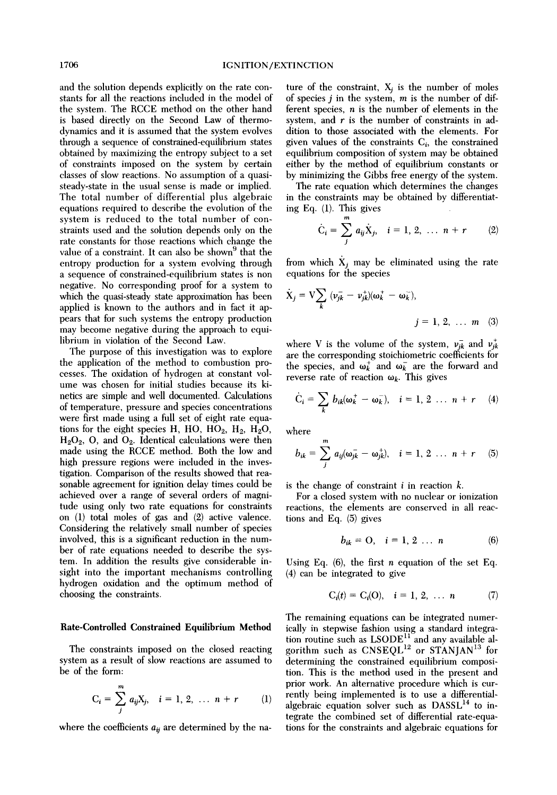and the solution depends explicitly on the rate constants for all the reactions included in the model of the system. The RCCE method on the other hand is based directly on the Second Law of thermodynamics and it is assumed that the system evolves through a sequence of constrained-equilibrium states obtained by maximizing the entropy subject to a set of constraints imposed on the system by certain classes of slow reactions. No assumption of a quasisteady-state in the usual sense is made or implied. The total number of differential plus algebraic equations required to describe the evolution of the system is reduced to the total number of constraints used and the solution depends only on the rate constants for those reactions which change the value of a constraint. It can also be shown<sup>9</sup> that the entropy production for a system evolving through a sequence of constrained-equilibrium states is non negative. No corresponding proof for a system to which the quasi-steady state approximation has been applied is known to the authors and in fact it appears that for such systems the entropy production may become negative during the approach to equilibrium in violation of the Second Law,

The purpose of this investigation was to explore the application of the method to combustion processes. The oxidation of hydrogen at constant volume was chosen for initial studies because its kinetics are simple and well documented. Calculations of temperature, pressure and species concentrations were first made using a full set of eight rate equations for the eight species H, HO, HO<sub>2</sub>, H<sub>2</sub>, H<sub>2</sub>O,  $H_2O_2$ , O, and  $O_2$ . Identical calculations were then made using the RCCE method. Both the low and high pressure regions were included in the investigation. Comparison of the results showed that reasonable agreement for ignition delay times could be achieved over a range of several orders of magnitude using only two rate equations for constraints on (1) total moles of gas and (2) active valence. Considering the relatively small number of species involved, this is a significant reduction in the number of rate equations needed to describe the system. In addition the results give considerable insight into the important mechanisms controlling hydrogen oxidation and the optimum method of choosing the constraints.

### **Rate-Controlled Constrained Equilibrium Method**

The constraints imposed on the closed reacting system as a result of slow reactions are assumed to be of the form:

$$
C_i = \sum_{j}^{m} a_{ij} X_j, \quad i = 1, 2, \ldots n + r \qquad (1)
$$

where the coefficients  $a_{ij}$  are determined by the na-

ture of the constraint,  $X_i$  is the number of moles of species *j* in the system, *m* is the number of different species,  $n$  is the number of elements in the system, and  $r$  is the number of constraints in addition to those associated with the elements. For given values of the constraints  $C_i$ , the constrained equilibrium composition of system may be obtained either by the method of equilibrium constants or by minimizing the Gibbs free energy of the system.

The rate equation which determines the changes in the constraints may be obtained by differentiating Eq. (1). This gives

$$
\dot{C}_i = \sum_j^{m} a_{ij} \dot{X}_j, \quad i = 1, 2, \ldots n + r \qquad (2)
$$

from which  $X_j$  may be eliminated using the rate equations for the species

$$
\dot{X}_j = V \sum_k \; (v_{jk} - v_{jk}^+) (\omega_k^+ - \omega_k^-),
$$
  

$$
j = 1, 2, \ldots m \quad (3)
$$

where V is the volume of the system,  $\nu_{jk}^-$  and  $\nu_{jk}^+$ are the corresponding stoichiometric coefficients for the species, and  $\omega_k^+$  and  $\omega_k^-$  are the forward and reverse rate of reaction  $\omega_k$ . This gives

$$
\dot{C}_i = \sum_k b_{ik}(\omega_k^+ - \omega_k^-), \quad i = 1, 2 \dots n + r \quad (4)
$$

where

$$
b_{ik} = \sum_{j}^{m} a_{ij}(\omega_{jk} - \omega_{jk}), \quad i = 1, 2 \ldots n + r \quad (5)
$$

is the change of constraint  $i$  in reaction  $k$ .

For a closed system with no nuclear or ionization reactions, the elements are conserved in all reactions and Eq. (5) gives

$$
b_{ik} = 0, \quad i = 1, 2 \ldots n \tag{6}
$$

Using Eq.  $(6)$ , the first *n* equation of the set Eq. (4) can be integrated to give

$$
C_i(t) = C_i(0), \quad i = 1, 2, \ldots n \tag{7}
$$

The remaining equations can be integrated numerically in stepwise fashion using a standard integra- $\frac{1}{2}$  is the points there is  $\frac{1}{2}$  and any available algorithm such as  $\text{CNSEQL}^{12}$  or  $\text{STANJAN}^{13}$  for determining the constrained equilibrium composition. This is the method used in the present and prior work. An alternative procedure which is currently being implemented is to use a differentialalgebraic equation solver such as  $DASSL<sup>14</sup>$  to integrate the combined set of differential rate-equations for the constraints and algebraic equations for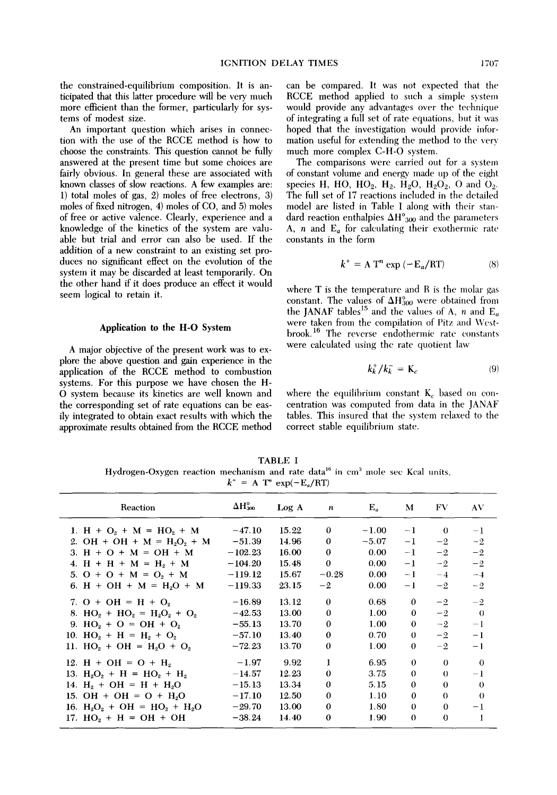the constrained-equilibrium composition. It is anticipated that this latter procedure will be very much more efficient than the former, particularly for systems of modest size.

An important question which arises in connection with the use of the RCCE method is how to choose the constraints. This question cannot be fully answered at the present time but some choices are fairly obvious. In general these are associated with known classes of slow reactions. A few examples are: 1) total moles of gas, 2) moles of free electrons, 3) moles of fixed nitrogen, 4) moles of CO, and 5) moles of free or active valence. Clearly, experience and a knowledge of the kinetics of the system are valuable but trial and error can also be used, If the addition of a new constraint to an existing set produces no significant effect on the evolution of the system it may be discarded at least temporarily. On the other hand if it does produce an effect it would seem logical to retain it.

#### **Application to the H-O System**

A major objective of the present work was to explore the above question and gain experience in the application of the RCCE method to combustion systems. For this purpose we have chosen the H-O system because its kinetics are well known and the corresponding set of rate equations can be easily integrated to obtain exact results with which the approximate results obtained from the RCCE method can be compared. It was not expected that the RCCE method applied to such a simple system would provide any advantages over the technique of integrating a full set of rate equations, but it was hoped that the investigation would provide information useful for extending the method to the verv much more complex C-H-O system.

The comparisons were carried out for a system of constant volume and energy, made up of the eight species H, HO, HO<sub>2</sub>, H<sub>2</sub>, H<sub>2</sub>O, H<sub>2</sub>O<sub>2</sub>, O and O<sub>2</sub>. The full set of 17 reactions included in the detailed model are listed in Table I along with their standard reaction enthalpies  $\Delta H^{\circ}_{300}$  and the parameters A,  $n$  and  $E_a$  for calculating their exothermic rate constants in the form

$$
k^{+} = A T^{n} \exp(-E_{a}/RT)
$$
 (8)

where T is the temperature and R is the molar gas constant. The values of  $\Delta H_{300}^{\circ}$  were obtained from the JANAF tables<sup>15</sup> and the values of A, n and  $E_a$ were taken from the compilation of Pitz and Westbrook. 16 The reverse endothermie rate constants were calculated using the rate quotient law

$$
k_k^+ / k_k^- = \mathbf{K}_c \tag{9}
$$

where the equilibrium constant  $K_c$  based on concentration was computed from data in the JANAF tables. This insured that the system relaxed to the correct stable equilibrium state.

| TABLE I                                                                                      |  |  |  |  |  |  |  |  |
|----------------------------------------------------------------------------------------------|--|--|--|--|--|--|--|--|
| Hydrogen-Oxygen reaction mechanism and rate data <sup>16</sup> in $cm3$ mole sec Keal units, |  |  |  |  |  |  |  |  |
| $k^+ = A T^* \exp(-E_z/RT)$                                                                  |  |  |  |  |  |  |  |  |

| Reaction                                                     | $\Delta H_{300}^{\circ}$ | Log A | $\boldsymbol{n}$ | $E_a$   | M        | FV       | AV       |
|--------------------------------------------------------------|--------------------------|-------|------------------|---------|----------|----------|----------|
| 1. H + $O_2$ + M = H $O_2$ + M                               | $-47.10$                 | 15.22 | $\Omega$         | $-1.00$ | $-1$     | $\Omega$ | $-1$     |
| 2. OH + OH + $M = H2O2 + M$                                  | $-51.39$                 | 14.96 | $\theta$         | $-5.07$ | $-1$     | $-2$     | $-2$     |
| 3. $H + O + M = OH + M$                                      | $-102.23$                | 16.00 | $\theta$         | 0.00    | $-1$     | $-2$     | $-2$     |
| 4. $H + H + M = H_2 + M$                                     | $-104.20$                | 15.48 | $\bf{0}$         | 0.00    | $-1$     | $-2$     | $-2$     |
| 5. $O + O + M = O_2 + M$                                     | $-119.12$                | 15.67 | $-0.28$          | 0.00    | $-1$     | $-4$     | $-4$     |
| 6. H + OH + M = $H_2O + M$                                   | $-119.33$                | 23.15 | $-2$             | 0.00    | $-1$     | $-2$     | $-2$     |
| 7. $O + OH = H + O_2$                                        | $-16.89$                 | 13.12 | $\theta$         | 0.68    | $\bf{0}$ | $-2$     | $-2$     |
| 8. $HO_2 + HO_2 = H_2O_2 + O_2$                              | $-42.53$                 | 13.00 | $\theta$         | 1.00    | $\theta$ | $-2$     | $\theta$ |
| 9. HO <sub>2</sub> + O = OH + O <sub>2</sub>                 | $-55.13$                 | 13.70 | $\theta$         | 1.00    | $\theta$ | $-2$     | $-1$     |
| 10. HO <sub>2</sub> + H = H <sub>2</sub> + O <sub>2</sub>    | $-57.10$                 | 13.40 | $\bf{0}$         | 0.70    | $\theta$ | $-2$     | $-1$     |
| 11. HO <sub>2</sub> + OH = H <sub>2</sub> O + O <sub>2</sub> | $-72.23$                 | 13.70 | $\Omega$         | 1.00    | $\bf{0}$ | $-2$     | $-1$     |
| 12. $H + OH = O + H2$                                        | $-1.97$                  | 9.92  | 1                | 6.95    | $\theta$ | $\theta$ | $\theta$ |
| 13. $H_2O_2 + H = HO_2 + H_2$                                | $-14.57$                 | 12.23 | $\Omega$         | 3.75    | $\theta$ | $\theta$ | $^{-1}$  |
| 14. $H_2 + OH = H + H_2O$                                    | $-15.13$                 | 13.34 | 0                | 5.15    | 0        | $\theta$ | $\theta$ |
| 15. OH + OH = $O + H2O$                                      | $-17.10$                 | 12.50 | $\theta$         | 1.10    | $\theta$ | $\Omega$ | $\theta$ |
| 16. $H_2O_2 + OH = HO_2 + H_2O$                              | $-29.70$                 | 13.00 | $\Omega$         | 1.80    | 0        | $\theta$ | $-1$     |
| 17. $HO_2 + H = OH + OH$                                     | $-38.24$                 | 14.40 | 0                | 1.90    | $\theta$ | $\bf{0}$ | 1        |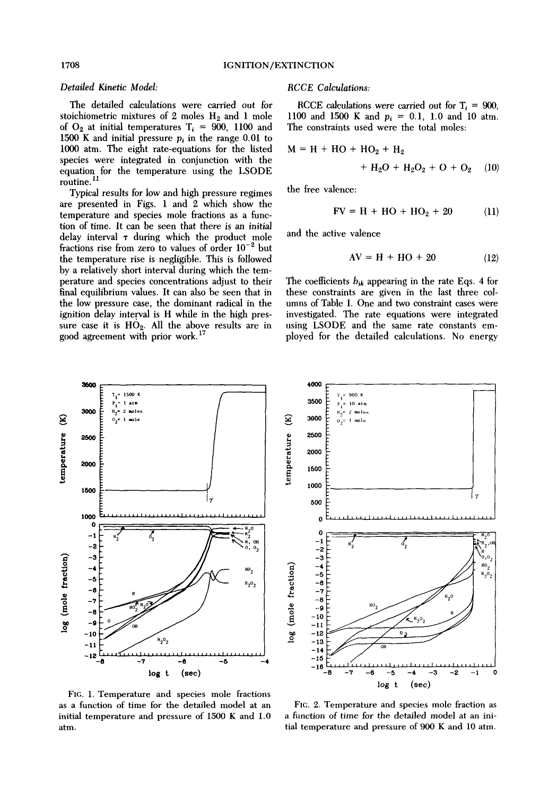## *Detailed Kinetic Model:*

The detailed calculations were carried out for stoichiometric mixtures of 2 moles  $H_2$  and 1 mole of O<sub>2</sub> at initial temperatures  $T_i = 900$ , 1100 and 1500 K and initial pressure  $p_i$  in the range 0.01 to 1000 atm. The eight rate-equations for the listed species were integrated in conjunction with the equation for the temperature using the LSODE  $r$ outine.<sup> $11$ </sup>

Typical results for low and high pressure regimes are presented in Figs. 1 and 2 which show the temperature and species mole fractions as a function of time. It can be seen that there is an initial delay interval  $\tau$  during which the product mole fractions rise from zero to values of order  $10^{-2}$  but the temperature rise is negligible. This is followed by a relatively short interval during which the temperature and species concentrations adjust to their final equilibrium values. It can also be seen that in the low pressure case, the dominant radical in the ignition delay interval is H while in the high pressure case it is  $HO<sub>2</sub>$ . All the above results are in good agreement with prior work.<sup>17</sup>

#### *RCCE Calculations:*

RCCE calculations were carried out for  $T<sub>i</sub> = 900$ . 1100 and 1500 K and  $p_i = 0.1$ , 1.0 and 10 atm. The constraints used were the total moles:

$$
M = H + HO + HO2 + H2
$$
  
+ H<sub>2</sub>O + H<sub>2</sub>O<sub>2</sub> + O + O<sub>2</sub> (10)

the free valence:

$$
FV = H + HO + HO2 + 20 \qquad (11)
$$

and the active valence

$$
AV = H + HO + 20 \qquad (12)
$$

The coefficients  $b_{ik}$  appearing in the rate Eqs. 4 for these constraints are given in the last three columns of Table I. One and two constraint cases were investigated, The rate equations were integrated using LSODE and the same rate constants employed for the detailed calculations. No energy



FIG. 1. Temperature and species mole fractions as a function of time for the detailed model at an initial temperature and pressure of 1500 K and 1.0 atm.



FIG. 2. Temperature and species mole fraction as a function of time for the *detailed* model at an initial temperature and pressure of 900 K and 10 atm.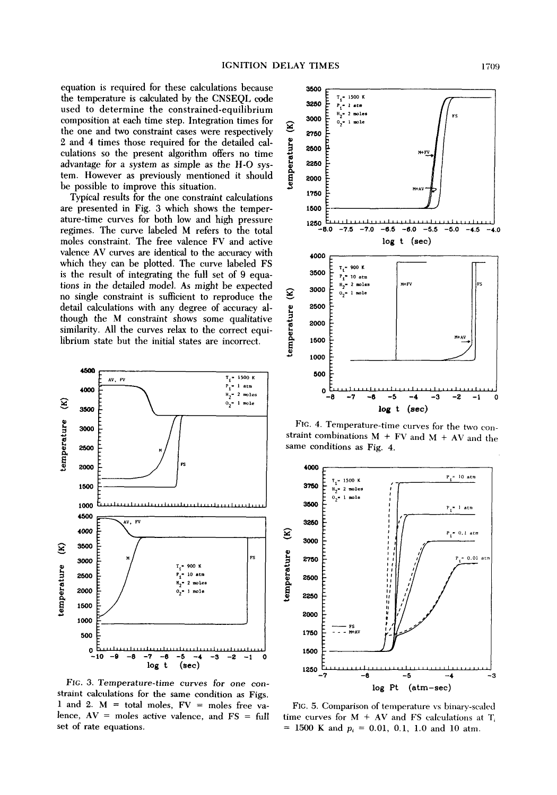equation is required for these calculations because .~50o the temperature is calculated by the CNSEQL code used to determine the constrained-equilibrium composition at each time step. Integration times for the one and two constraint cases were respectively 2 and 4 times those required for the detailed cal-<br>culations so the present algorithm offers no time<br>advantage for a system as simple as the H-O sys-<br>tem. However as previously mentioned it should<br>the nossible to improve culations so the present algorithm offers no time advantage for a system as simple as the H-O system. However as previously mentioned it should be possible to improve this situation.

Typical results for the one constraint calculations are presented in Fig. 3 which shows the temperature-time curves for both low and high pressure regimes. The curve labeled M refers to the total moles constraint. The free valence FV and active valence AV curves are identical to the accuracy with  $4000$ which they can be plotted. The curve labeled FS is the result of integrating the full set of 9 equations in the detailed model. As might be expected no single constraint is sufficient to reproduce the  $\mathcal{E}$ detail calculations with any degree of accuracy al-<br>though the M constraint shows some qualitative<br>similarity. All the curves relax to the correct equi-<br>librium state but the initial states are incorrect. though the M constraint shows some qualitative  $\frac{1}{2}$  similarity. All the curves relax to the correct equilibrium state but the initial states are incorrect.



*FIG.* 3. Temperature-time *curves* for *one con*straint calculations for the same condition as Figs. 1 and 2.  $M =$  total moles,  $FV =$  moles free valence,  $AV =$  moles active valence, and  $FS = full$ set of rate equations.



FIG. 4. Temperature-time curves for the two constraint combinations  $M + FV$  and  $M + AV$  and the same conditions as Fig. 4.



FIG. 5. Comparison of temperature vs binary-scaled time curves for  $M + AV$  and FS calculations at  $T_i$  $= 1500$  K and  $p_i = 0.01, 0.1, 1.0$  and 10 atm.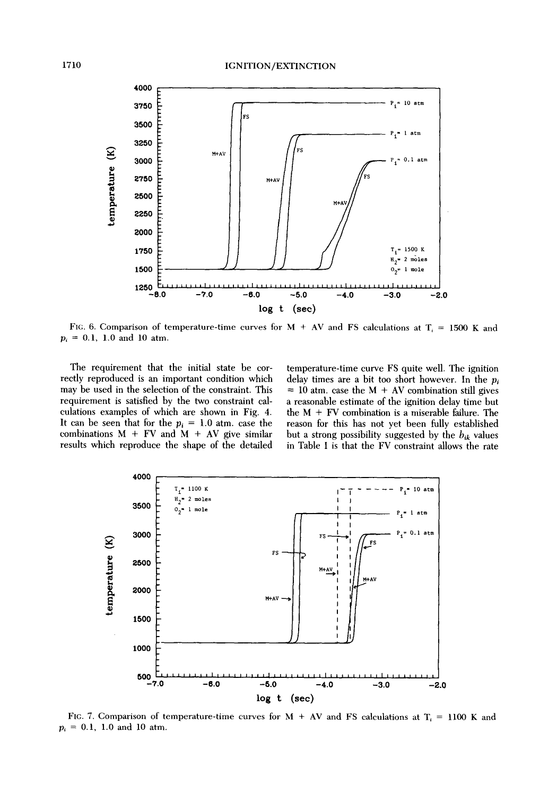

FIG. 6. Comparison of temperature-time curves for M + AV and FS calculations at  $T_i = 1500$  K and  $p_i = 0.1$ , 1.0 and 10 atm.

The requirement that the initial state be correctly reproduced is an important condition which may be used in the selection of the constraint. This requirement is satisfied by the two constraint calculations examples of which are shown in Fig. 4. It can be seen that for the  $p_i = 1.0$  atm. case the combinations  $M + FV$  and  $M + AV$  give similar results which reproduce the shape of the detailed temperature-time curve FS quite well. The ignition delay times are a bit too short however. In the  $p_i$  $= 10$  atm. case the M + AV combination still gives a reasonable estimate of the ignition delay time but the M + FV combination is a miserable failure. The reason for this has not yet been fully established but a strong possibility suggested by the  $b_{ik}$  values in Table I is that the FV constraint allows the rate



FIG. 7. Comparison of temperature-time curves for M + AV and FS calculations at T<sub>i</sub> = 1100 K and  $p_i = 0.1$ , 1.0 and 10 atm.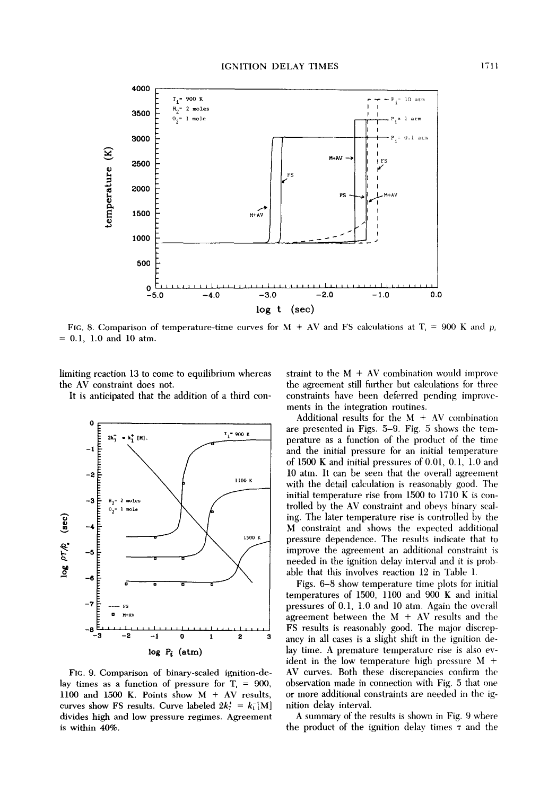

FIG. 8. Comparison of temperature-time curves for M + AV and FS calculations at T<sub>i</sub> = 900 K and  $p_i$  $= 0.1, 1.0$  and 10 atm.

limiting reaction 13 to come to equilibrium whereas the AV constraint does not.

It is anticipated that the addition of a third con-



FIC. 9. Comparison of binary-scaled ignition-delay times as a function of pressure for  $T_i = 900$ , 1100 and 1500 K. Points show  $M + AV$  results, curves show FS results. Curve labeled  $2k_7^+ = k_1^-[M]$ divides high and low pressure regimes. Agreement is within 40%.

straint to the  $M + AV$  combination would improve the agreement still further but calculations for three constraints have been deferred pending improvements in the integration routines.

Additional results for the  $M + AV$  combination are presented in Figs. 5-9. Fig. 5 shows the temperature as a function of the product of the time and the initial pressure for an initial temperature of 1500 K and initial pressures of 0.01, 0.1, 1.0 and 10 atm. It can be seen that the overall agreement with the detail calculation is reasonably good. The initial temperature rise from 1500 to 1710 K is controlled by the AV constraint and obeys binarv scaling. The later temperature rise is controlled by the M constraint and shows the expected additional pressure dependence. The results indicate that to improve the agreement an additional constraint is needed in the ignition delay interval and it is probable that this involves reaction 12 in Table I.

Figs. 6-8 show temperature time plots for initial temperatures of 1500, 1100 and 900 K and initial pressures of 0.1, 1.0 and 10 atm. Again the overall agreement between the  $M + AV$  results and the FS results is reasonably good. The major discrepancy in all cases is a slight shift in the ignition delay time. A premature temperature rise is also evident in the low temperature high pressure  $M +$ AV curves. Both these discrepancies confirm the observation made in connection with Fig. 5 that one or more additional constraints are needed in the ignition delay interval.

A summary of the results is shown in Fig. 9 where the product of the ignition delay times  $\tau$  and the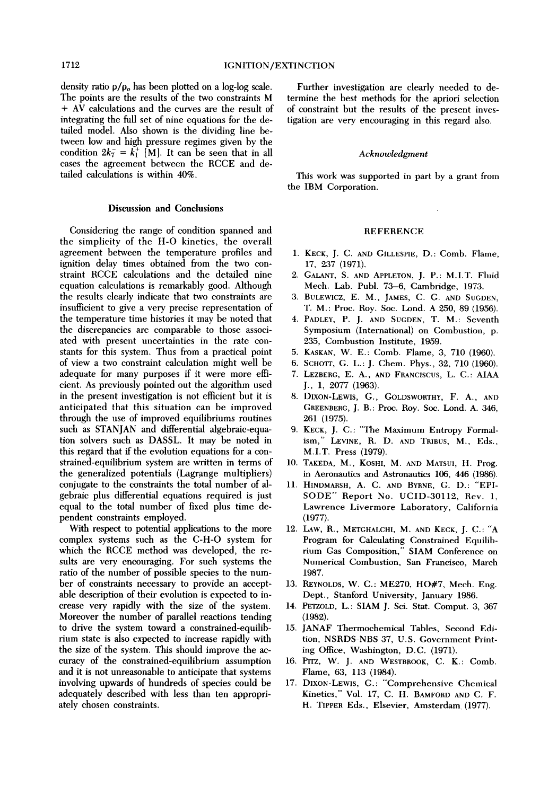density ratio  $p/\rho_o$  has been plotted on a log-log scale. The points are the results of the two constraints M + AV calculations and the curves are the result of integrating the full set of nine equations for the detailed model. Also shown is the dividing line between low and high pressure regimes given by the condition  $2k_7 = k_1^+$  [M]. It can be seen that in all cases the agreement between the RCCE and detailed calculations is within 40%.

## Discussion and Conclusions

Considering the range of condition spanned and the simplicity of the H-O kinetics, the overall agreement between the temperature profiles and ignition delay times obtained from the two constraint RCCE calculations and the detailed nine equation calculations is remarkably good. Although the results clearly indicate that two constraints are insufficient to give a very precise representation of the temperature time histories it may be noted that the discrepancies are comparable to those associated with present uncertainties in the rate constants for this system. Thus from a practical point of view a two constraint calculation might well be adequate for many purposes if it were more efficient. As previously pointed out the algorithm used in the present investigation is not efficient but it is anticipated that this situation can be improved through the use of improved equilibriums routines such as STANJAN and differential algebraic-equation solvers such as DASSL. It may be noted in this regard that if the evolution equations for a constrained-equilibrium system are written in terms of the generalized potentials (Lagrange multipliers) conjugate to the constraints the total number of algebraic plus differential equations required is just equal to the total number of fixed plus time dependent constraints employed.

With respect to potential applications to the more complex systems such as the C-H-O system for which the RCCE method was developed, the results are very encouraging. For such systems the ratio of the number of possible species to the number of constraints necessary to provide an acceptable description of their evolution is expected to increase very rapidly with the size of the system. Moreover the number of parallel reactions tending to drive the system toward a constrained-equilibrium state is also expected to increase rapidly with the size of the system. This should improve the accuracy of the constrained-equilibrium assumption and it is not unreasonable to anticipate that systems involving upwards of hundreds of species could be adequately described with less than ten appropriately chosen constraints.

Further investigation are clearly needed to determine the best methods for the apriori selection of constraint but the results of the present investigation are very encouraging in this regard also.

#### *Acknowledgment*

This work was supported in part by a grant from the IBM Corporation.

## **REFERENCE**

- 1. KECK, J. C. AND GILLESPIE, D.: Comb. Flame, 17, 237 (1971).
- 2. GALANT, S. AND APPLETON, J. P.: M.I.T. Fluid Mech. Lab. Publ. 73-6, Cambridge, 1973.
- 3. BULEWlCZ, E. M., JAMES, C. G. AND SUGDEN, T. M. : Proc. Roy. Soc. Lond. A 250, 89 (1956).
- 4. PADLEY, P. J. AND SUGDEN, T. M.: Seventh Symposium (International) on Combustion, p. 235, Combustion Institute, 1959.
- 5. KaSKAN, W. E.: Comb. Flame, 3, 710 (1960).
- 6. SCHOTr, G. L.: J. Chem. Phys., 32, 710 (1960).
- 7. LEZBERG, E. A., AND FRANCISCUS, L. C.: AIAA J., 1, 2077 (1963).
- 8. DIXON-LEwiS, G., GOLDSWORTHY, F. A., AND GREENBERG, J. B.: Proc. Roy. Soc. Lond. A. 346, 261 (1975).
- 9. KECK, J. C.: "The Maximum Entropy Formalism," LEVINE, R. D. AND TRIBUS, M., Eds., M.I.T. Press (1979).
- 10. TAKEDA, M., KOSHI, M. AND MATSU1, H. Prog. in Aeronautics and Astronautics 106, 446 (1986).
- 11. HINDMARSH, A. C. AND BYRNE, G. D.: "EPI-SODE'" Report No. UCID-30112, Rev. 1, Lawrence Livermore Laboratory, California (1977).
- 12. Law, R., METGHALCHI, M. AND KECK, J. C.: "A Program for Calculating Constrained Equilibrium Gas Composition," SIAM Conference on Numerical Combustion, San Francisco, March 1987.
- 13. REYNOLDS, W. C.: ME270, HO#7, Mech. Eng. Dept., Stanford University, January 1986.
- 14. PETZOLD, L. : SIAM J. Sci. Stat. Comput. 3, 367 (1982).
- 15. JANAF Thermochemical Tables, Second Edition, NSRDS-NBS 37, U.S. Government Printing Office, Washington, D.C. (1971).
- 16. PITZ, W. J. AND WESTBROOK, C. K.: Comb. Flame, 63, 113 (1984).
- 17. DIXON-LEWIS, G.: "Comprehensive Chemical Kinetics," Vol. 17, C. H. BAMFORD AND C. F. H. TIPPER Eds., Elsevier, Amsterdam (1977).